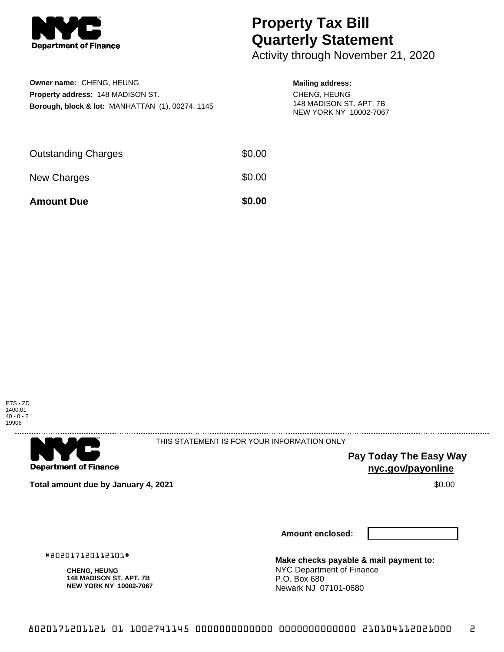

# **Property Tax Bill Quarterly Statement**

Activity through November 21, 2020

| Owner name: CHENG, HEUNG                                    |
|-------------------------------------------------------------|
| <b>Property address: 148 MADISON ST.</b>                    |
| <b>Borough, block &amp; lot: MANHATTAN (1), 00274, 1145</b> |

#### **Mailing address:**

CHENG, HEUNG 148 MADISON ST. APT. 7B NEW YORK NY 10002-7067

| <b>Amount Due</b>          | \$0.00 |
|----------------------------|--------|
| New Charges                | \$0.00 |
| <b>Outstanding Charges</b> | \$0.00 |





THIS STATEMENT IS FOR YOUR INFORMATION ONLY

**Pay Today The Easy Way nyc.gov/payonline**

**Total amount due by January 4, 2021 \$0.00** \$0.00

**Amount enclosed:**

**Make checks payable & mail payment to:** NYC Department of Finance P.O. Box 680 Newark NJ 07101-0680

#802017120112101#

**CHENG, HEUNG 148 MADISON ST. APT. 7B NEW YORK NY 10002-7067**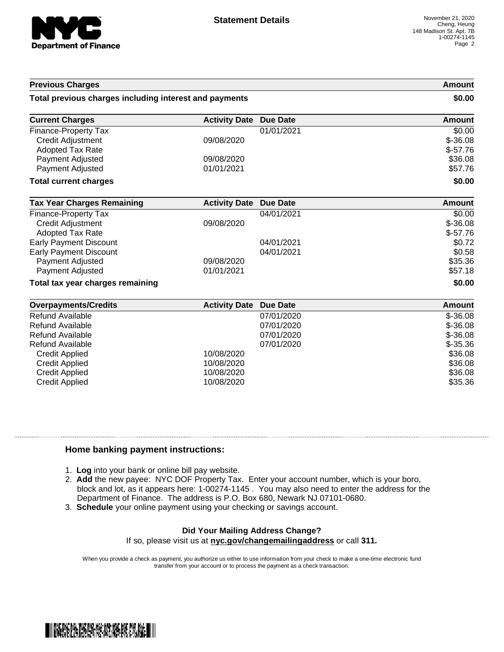

### **Previous Charges Amount Total previous charges including interest and payments \$0.00 Current Charges Activity Date Due Date Amount Amount** Finance-Property Tax 01/01/2021 \$0.00 Credit Adjustment 09/08/2020 \$-36.08 Adopted Tax Rate  $$-57.76$ Payment Adjusted 69/08/2020 **\$36.08** \$36.08 Payment Adjusted 61/01/2021 **357.76 Total current charges \$0.00 Tax Year Charges Remaining <b>Activity Date Due Date Amount Amount** Finance-Property Tax 60.00 Credit Adjustment 09/08/2020 \$-36.08 **Adopted Tax Rate**  $\sim$  \$-57.76 Early Payment Discount \$0.72 Early Payment Discount 60.58 (1990) 12021 60.58 **Payment Adjusted 09/08/2020** \$35.36 **Payment Adjusted 61/01/2021 61/01/2021 61/01/2021 \$57.18 Total tax year charges remaining \$0.00 Overpayments/Credits Activity Date Due Date Amount** Refund Available 07/01/2020 \$-36.08 Refund Available \$5-36.08<br>
Refund Available \$5-36.08<br>
Refund Available \$5.26.08 Refund Available 07/01/2020 \$-36.08

| Refund Avaliable      | 07/01/2020 | <b>ა-</b> კხ.∪ბ |
|-----------------------|------------|-----------------|
| Refund Available      | 07/01/2020 | $$-35.36$       |
| Credit Applied        | 10/08/2020 | \$36.08         |
| Credit Applied        | 10/08/2020 | \$36.08         |
| Credit Applied        | 10/08/2020 | \$36.08         |
| <b>Credit Applied</b> | 10/08/2020 | \$35.36         |
|                       |            |                 |

#### **Home banking payment instructions:**

- 1. **Log** into your bank or online bill pay website.
- 2. **Add** the new payee: NYC DOF Property Tax. Enter your account number, which is your boro, block and lot, as it appears here: 1-00274-1145 . You may also need to enter the address for the Department of Finance. The address is P.O. Box 680, Newark NJ 07101-0680.
- 3. **Schedule** your online payment using your checking or savings account.

## **Did Your Mailing Address Change?**

If so, please visit us at **nyc.gov/changemailingaddress** or call **311.**

When you provide a check as payment, you authorize us either to use information from your check to make a one-time electronic fund transfer from your account or to process the payment as a check transaction.